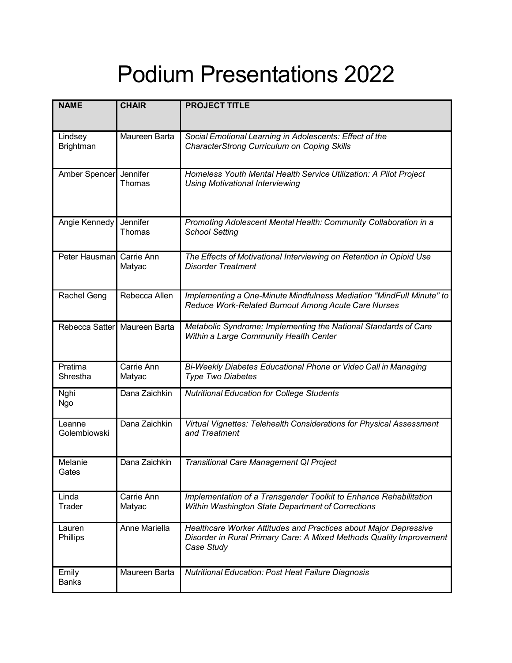## Podium Presentations 2022

| <b>NAME</b>                 | <b>CHAIR</b>                 | <b>PROJECT TITLE</b>                                                                                                                                  |
|-----------------------------|------------------------------|-------------------------------------------------------------------------------------------------------------------------------------------------------|
| Lindsey<br><b>Brightman</b> | Maureen Barta                | Social Emotional Learning in Adolescents: Effect of the<br><b>CharacterStrong Curriculum on Coping Skills</b>                                         |
| Amber Spencer Jennifer      | Thomas                       | Homeless Youth Mental Health Service Utilization: A Pilot Project<br><b>Using Motivational Interviewing</b>                                           |
| Angie Kennedy               | Jennifer<br>Thomas           | Promoting Adolescent Mental Health: Community Collaboration in a<br><b>School Setting</b>                                                             |
| Peter Hausman               | Carrie Ann<br>Matyac         | The Effects of Motivational Interviewing on Retention in Opioid Use<br><b>Disorder Treatment</b>                                                      |
| <b>Rachel Geng</b>          | Rebecca Allen                | Implementing a One-Minute Mindfulness Mediation "MindFull Minute" to<br>Reduce Work-Related Burnout Among Acute Care Nurses                           |
|                             | Rebecca Satter Maureen Barta | Metabolic Syndrome; Implementing the National Standards of Care<br>Within a Large Community Health Center                                             |
| Pratima<br>Shrestha         | Carrie Ann<br>Matyac         | Bi-Weekly Diabetes Educational Phone or Video Call in Managing<br>Type Two Diabetes                                                                   |
| Nghi<br>Ngo                 | Dana Zaichkin                | <b>Nutritional Education for College Students</b>                                                                                                     |
| Leanne<br>Golembiowski      | Dana Zaichkin                | Virtual Vignettes: Telehealth Considerations for Physical Assessment<br>and Treatment                                                                 |
| Melanie<br>Gates            | Dana Zaichkin                | <b>Transitional Care Management QI Project</b>                                                                                                        |
| Linda<br>Trader             | Carrie Ann<br>Matyac         | Implementation of a Transgender Toolkit to Enhance Rehabilitation<br>Within Washington State Department of Corrections                                |
| Lauren<br>Phillips          | Anne Mariella                | Healthcare Worker Attitudes and Practices about Major Depressive<br>Disorder in Rural Primary Care: A Mixed Methods Quality Improvement<br>Case Study |
| Emily<br><b>Banks</b>       | Maureen Barta                | <b>Nutritional Education: Post Heat Failure Diagnosis</b>                                                                                             |